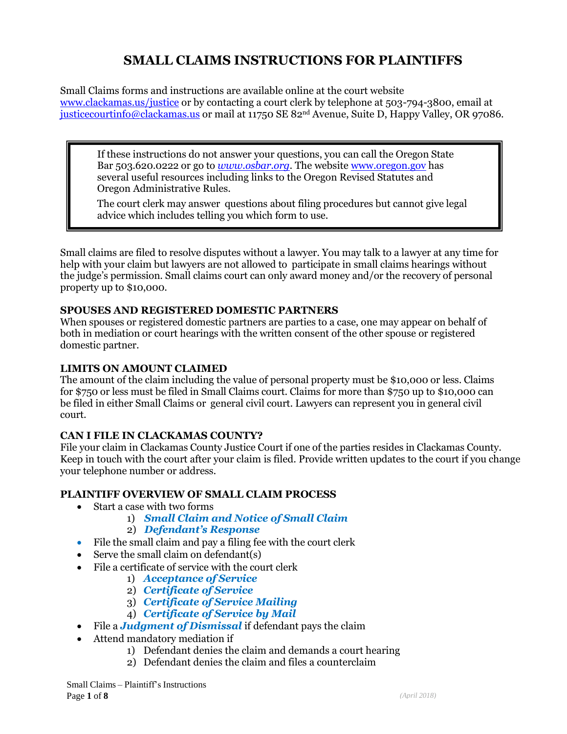# **SMALL CLAIMS INSTRUCTIONS FOR PLAINTIFFS**

Small Claims forms and instructions are available online at the court website [www.clackamas.us/justice](http://www.clackamas.us/justice) or by contacting a court clerk by telephone at 503-794-3800, email at [justicecourtinfo@clackamas.us](mailto:justicecourtinfo@clackamas.us) or mail at 11750 SE 82nd Avenue, Suite D, Happy Valley, OR 97086.

If these instructions do not answer your questions, you can call the Oregon State Bar 503.620.0222 or go to *[www.osbar.org](http://www.osbar.org/)*. The website [www.oregon.gov](http://www.oregon.gov/) has several useful resources including links to the Oregon Revised Statutes and Oregon Administrative Rules.

The court clerk may answer questions about filing procedures but cannot give legal advice which includes telling you which form to use.

Small claims are filed to resolve disputes without a lawyer. You may talk to a lawyer at any time for help with your claim but lawyers are not allowed to participate in small claims hearings without the judge's permission. Small claims court can only award money and/or the recovery of personal property up to \$10,000.

#### **SPOUSES AND REGISTERED DOMESTIC PARTNERS**

When spouses or registered domestic partners are parties to a case, one may appear on behalf of both in mediation or court hearings with the written consent of the other spouse or registered domestic partner.

#### **LIMITS ON AMOUNT CLAIMED**

The amount of the claim including the value of personal property must be \$10,000 or less. Claims for \$750 or less must be filed in Small Claims court. Claims for more than \$750 up to \$10,000 can be filed in either Small Claims or general civil court. Lawyers can represent you in general civil court.

## **CAN I FILE IN CLACKAMAS COUNTY?**

File your claim in Clackamas County Justice Court if one of the parties resides in Clackamas County. Keep in touch with the court after your claim is filed. Provide written updates to the court if you change your telephone number or address.

#### **PLAINTIFF OVERVIEW OF SMALL CLAIM PROCESS**

- Start a case with two forms
	- 1) *Small Claim and Notice of Small Claim*
	- 2) *Defendant's Response*
- File the small claim and pay a filing fee with the court clerk
- Serve the small claim on defendant(s)
- File a certificate of service with the court clerk
	- 1) *Acceptance of Service*
	- 2) *Certificate of Service*
	- 3) *Certificate of Service Mailing*
	- 4) *Certificate of Service by Mail*
- File a *Judgment of Dismissal* if defendant pays the claim
- Attend mandatory mediation if
	- 1) Defendant denies the claim and demands a court hearing
	- 2) Defendant denies the claim and files a counterclaim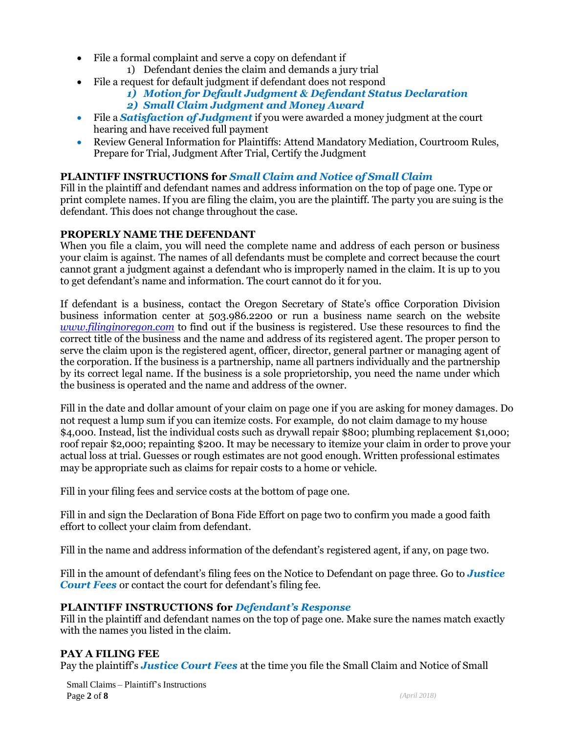- File a formal complaint and serve a copy on defendant if
	- 1) Defendant denies the claim and demands a jury trial
- File a request for default judgment if defendant does not respond
	- *1) Motion for Default Judgment & Defendant Status Declaration 2) Small Claim Judgment and Money Award*
- File a *Satisfaction of Judgment* if you were awarded a money judgment at the court hearing and have received full payment
- Review General Information for Plaintiffs: Attend Mandatory Mediation, Courtroom Rules, Prepare for Trial, Judgment After Trial, Certify the Judgment

## **PLAINTIFF INSTRUCTIONS for** *Small Claim and Notice of Small Claim*

Fill in the plaintiff and defendant names and address information on the top of page one. Type or print complete names. If you are filing the claim, you are the plaintiff. The party you are suing is the defendant. This does not change throughout the case.

## **PROPERLY NAME THE DEFENDANT**

When you file a claim, you will need the complete name and address of each person or business your claim is against. The names of all defendants must be complete and correct because the court cannot grant a judgment against a defendant who is improperly named in the claim. It is up to you to get defendant's name and information. The court cannot do it for you.

If defendant is a business, contact the Oregon Secretary of State's office Corporation Division business information center at 503.986.2200 or run a business name search on the website *[www.filinginoregon.com](http://www.filinginoregon.com/)* to find out if the business is registered. Use these resources to find the correct title of the business and the name and address of its registered agent. The proper person to serve the claim upon is the registered agent, officer, director, general partner or managing agent of the corporation. If the business is a partnership, name all partners individually and the partnership by its correct legal name. If the business is a sole proprietorship, you need the name under which the business is operated and the name and address of the owner.

Fill in the date and dollar amount of your claim on page one if you are asking for money damages. Do not request a lump sum if you can itemize costs. For example, do not claim damage to my house \$4,000. Instead, list the individual costs such as drywall repair \$800; plumbing replacement \$1,000; roof repair \$2,000; repainting \$200. It may be necessary to itemize your claim in order to prove your actual loss at trial. Guesses or rough estimates are not good enough. Written professional estimates may be appropriate such as claims for repair costs to a home or vehicle.

Fill in your filing fees and service costs at the bottom of page one.

Fill in and sign the Declaration of Bona Fide Effort on page two to confirm you made a good faith effort to collect your claim from defendant.

Fill in the name and address information of the defendant's registered agent, if any, on page two.

Fill in the amount of defendant's filing fees on the Notice to Defendant on page three. Go to *Justice Court Fees* or contact the court for defendant's filing fee.

#### **PLAINTIFF INSTRUCTIONS for** *Defendant's Response*

Fill in the plaintiff and defendant names on the top of page one. Make sure the names match exactly with the names you listed in the claim.

#### **PAY A FILING FEE**

Pay the plaintiff's *Justice Court Fees* at the time you file the Small Claim and Notice of Small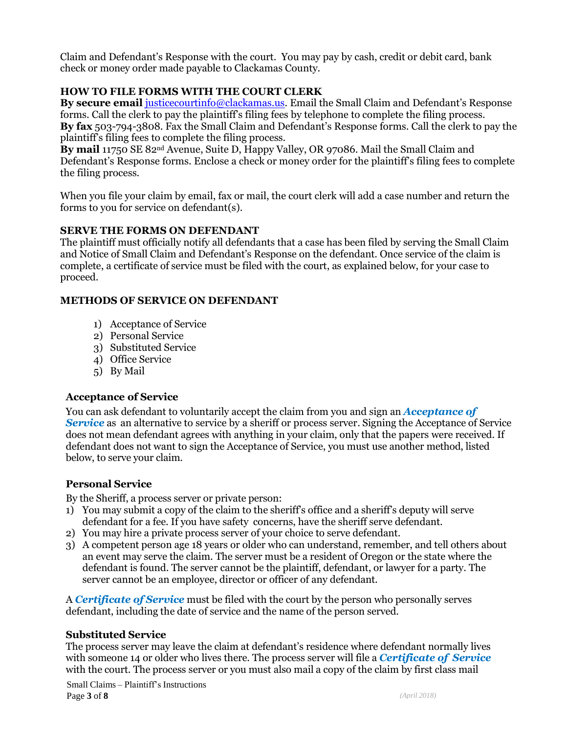Claim and Defendant's Response with the court. You may pay by cash, credit or debit card, bank check or money order made payable to Clackamas County.

## **HOW TO FILE FORMS WITH THE COURT CLERK**

**By secure email** [justicecourtinfo@clackamas.us.](mailto:justicecourtinfo@clackamas.us) Email the Small Claim and Defendant's Response forms. Call the clerk to pay the plaintiff's filing fees by telephone to complete the filing process. **By fax** 503-794-3808. Fax the Small Claim and Defendant's Response forms. Call the clerk to pay the plaintiff's filing fees to complete the filing process.

**By mail** 11750 SE 82nd Avenue, Suite D, Happy Valley, OR 97086. Mail the Small Claim and Defendant's Response forms. Enclose a check or money order for the plaintiff's filing fees to complete the filing process.

When you file your claim by email, fax or mail, the court clerk will add a case number and return the forms to you for service on defendant(s).

#### **SERVE THE FORMS ON DEFENDANT**

The plaintiff must officially notify all defendants that a case has been filed by serving the Small Claim and Notice of Small Claim and Defendant's Response on the defendant. Once service of the claim is complete, a certificate of service must be filed with the court, as explained below, for your case to proceed.

## **METHODS OF SERVICE ON DEFENDANT**

- 1) Acceptance of Service
- 2) Personal Service
- 3) Substituted Service
- 4) Office Service
- 5) By Mail

#### **Acceptance of Service**

You can ask defendant to voluntarily accept the claim from you and sign an *Acceptance of* **Service** as an alternative to service by a sheriff or process server. Signing the Acceptance of Service does not mean defendant agrees with anything in your claim, only that the papers were received. If defendant does not want to sign the Acceptance of Service, you must use another method, listed below, to serve your claim.

## **Personal Service**

By the Sheriff, a process server or private person:

- 1) You may submit a copy of the claim to the sheriff's office and a sheriff's deputy will serve defendant for a fee. If you have safety concerns, have the sheriff serve defendant.
- 2) You may hire a private process server of your choice to serve defendant.
- 3) A competent person age 18 years or older who can understand, remember, and tell others about an event may serve the claim. The server must be a resident of Oregon or the state where the defendant is found. The server cannot be the plaintiff, defendant, or lawyer for a party. The server cannot be an employee, director or officer of any defendant.

A *Certificate of Service* must be filed with the court by the person who personally serves defendant, including the date of service and the name of the person served.

#### **Substituted Service**

The process server may leave the claim at defendant's residence where defendant normally lives with someone 14 or older who lives there. The process server will file a *Certificate of Service* with the court. The process server or you must also mail a copy of the claim by first class mail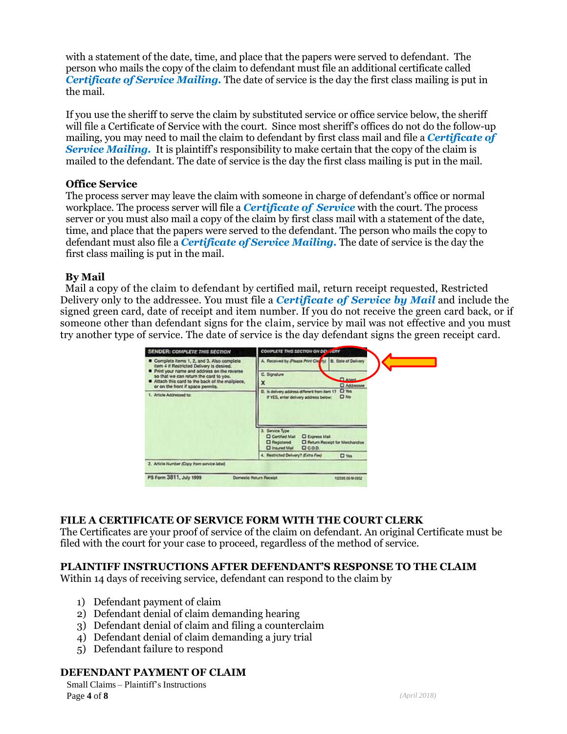with a statement of the date, time, and place that the papers were served to defendant. The person who mails the copy of the claim to defendant must file an additional certificate called *Certificate of Service Mailing.* The date of service is the day the first class mailing is put in the mail.

If you use the sheriff to serve the claim by substituted service or office service below, the sheriff will file a Certificate of Service with the court. Since most sheriff's offices do not do the follow-up mailing, you may need to mail the claim to defendant by first class mail and file a *Certificate of*  **Service Mailing.** It is plaintiff's responsibility to make certain that the copy of the claim is mailed to the defendant. The date of service is the day the first class mailing is put in the mail.

#### **Office Service**

The process server may leave the claim with someone in charge of defendant's office or normal workplace. The process server will file a *Certificate of Service* with the court. The process server or you must also mail a copy of the claim by first class mail with a statement of the date, time, and place that the papers were served to the defendant. The person who mails the copy to defendant must also file a *Certificate of Service Mailing.* The date of service is the day the first class mailing is put in the mail.

#### **By Mail**

 Mail a copy of the claim to defendant by certified mail, return receipt requested, Restricted Delivery only to the addressee. You must file a *Certificate of Service by Mail* and include the signed green card, date of receipt and item number. If you do not receive the green card back, or if someone other than defendant signs for the claim, service by mail was not effective and you must try another type of service. The date of service is the day defendant signs the green receipt card.



#### **FILE A CERTIFICATE OF SERVICE FORM WITH THE COURT CLERK**

The Certificates are your proof of service of the claim on defendant. An original Certificate must be filed with the court for your case to proceed, regardless of the method of service.

#### **PLAINTIFF INSTRUCTIONS AFTER DEFENDANT'S RESPONSE TO THE CLAIM**

Within 14 days of receiving service, defendant can respond to the claim by

- 1) Defendant payment of claim
- 2) Defendant denial of claim demanding hearing
- 3) Defendant denial of claim and filing a counterclaim
- 4) Defendant denial of claim demanding a jury trial
- 5) Defendant failure to respond

#### **DEFENDANT PAYMENT OF CLAIM**

Small Claims – Plaintiff's Instructions **Page 4 of 8** *(April 2018)*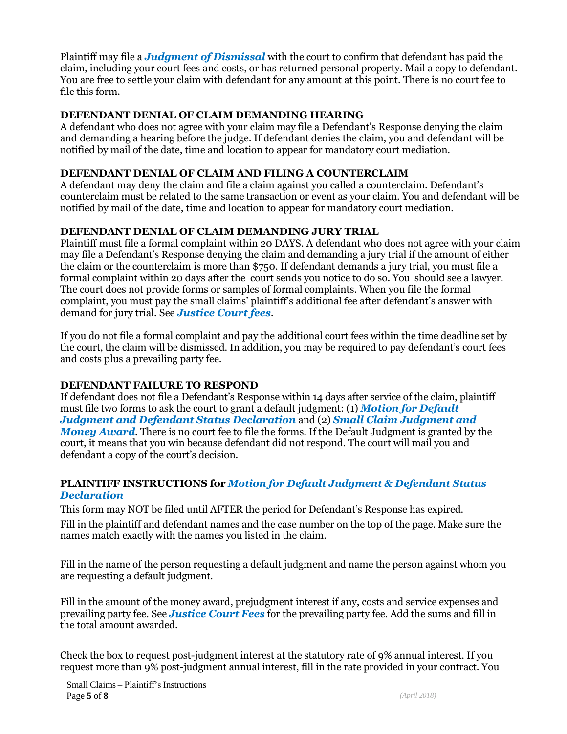Plaintiff may file a *Judgment of Dismissal* with the court to confirm that defendant has paid the claim, including your court fees and costs, or has returned personal property. Mail a copy to defendant. You are free to settle your claim with defendant for any amount at this point. There is no court fee to file this form.

# **DEFENDANT DENIAL OF CLAIM DEMANDING HEARING**

A defendant who does not agree with your claim may file a Defendant's Response denying the claim and demanding a hearing before the judge. If defendant denies the claim, you and defendant will be notified by mail of the date, time and location to appear for mandatory court mediation.

## **DEFENDANT DENIAL OF CLAIM AND FILING A COUNTERCLAIM**

A defendant may deny the claim and file a claim against you called a counterclaim. Defendant's counterclaim must be related to the same transaction or event as your claim. You and defendant will be notified by mail of the date, time and location to appear for mandatory court mediation.

## **DEFENDANT DENIAL OF CLAIM DEMANDING JURY TRIAL**

Plaintiff must file a formal complaint within 20 DAYS. A defendant who does not agree with your claim may file a Defendant's Response denying the claim and demanding a jury trial if the amount of either the claim or the counterclaim is more than \$750. If defendant demands a jury trial, you must file a formal complaint within 20 days after the court sends you notice to do so. You should see a lawyer. The court does not provide forms or samples of formal complaints. When you file the formal complaint, you must pay the small claims' plaintiff's additional fee after defendant's answer with demand for jury trial. See *Justice Court fees.* 

If you do not file a formal complaint and pay the additional court fees within the time deadline set by the court, the claim will be dismissed. In addition, you may be required to pay defendant's court fees and costs plus a prevailing party fee.

## **DEFENDANT FAILURE TO RESPOND**

If defendant does not file a Defendant's Response within 14 days after service of the claim, plaintiff must file two forms to ask the court to grant a default judgment: (1) *Motion for Default Judgment and Defendant Status Declaration* and (2) *Small Claim Judgment and Money Award*. There is no court fee to file the forms. If the Default Judgment is granted by the court, it means that you win because defendant did not respond. The court will mail you and defendant a copy of the court's decision.

## **PLAINTIFF INSTRUCTIONS for** *Motion for Default Judgment & Defendant Status Declaration*

This form may NOT be filed until AFTER the period for Defendant's Response has expired. Fill in the plaintiff and defendant names and the case number on the top of the page. Make sure the names match exactly with the names you listed in the claim.

Fill in the name of the person requesting a default judgment and name the person against whom you are requesting a default judgment.

Fill in the amount of the money award, prejudgment interest if any, costs and service expenses and prevailing party fee. See *Justice Court Fees* for the prevailing party fee. Add the sums and fill in the total amount awarded.

Check the box to request post-judgment interest at the statutory rate of 9% annual interest. If you request more than 9% post-judgment annual interest, fill in the rate provided in your contract. You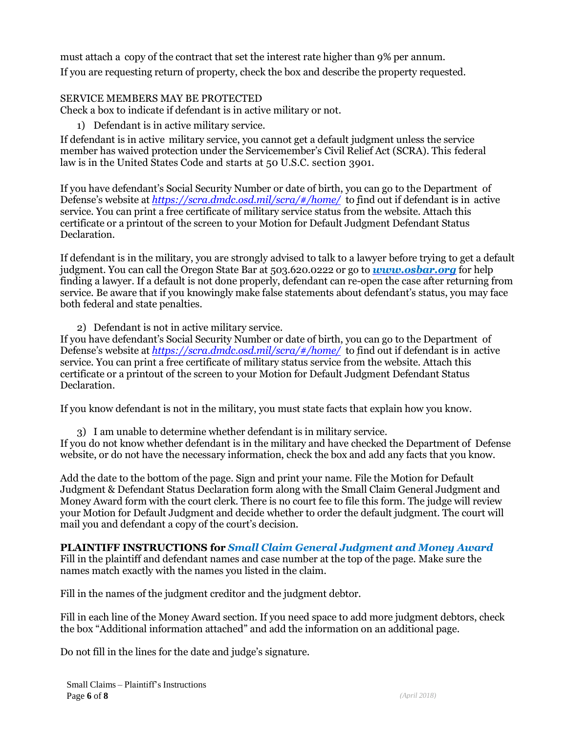must attach a copy of the contract that set the interest rate higher than 9% per annum. If you are requesting return of property, check the box and describe the property requested.

## SERVICE MEMBERS MAY BE PROTECTED

Check a box to indicate if defendant is in active military or not.

1) Defendant is in active military service.

If defendant is in active military service, you cannot get a default judgment unless the service member has waived protection under the Servicemember's Civil Relief Act (SCRA). This federal law is in the United States Code and starts at 50 U.S.C. section 3901.

If you have defendant's Social Security Number or date of birth, you can go to the Department of Defense's website at *<https://scra.dmdc.osd.mil/scra/#/home/>* to find out if defendant is in active service. You can print a free certificate of military service status from the website. Attach this certificate or a printout of the screen to your Motion for Default Judgment Defendant Status Declaration.

If defendant is in the military, you are strongly advised to talk to a lawyer before trying to get a default judgment. You can call the Oregon State Bar at 503.620.0222 or go to *[www.osbar.org](http://www.osbar.org/)* for help finding a lawyer. If a default is not done properly, defendant can re-open the case after returning from service. Be aware that if you knowingly make false statements about defendant's status, you may face both federal and state penalties.

2) Defendant is not in active military service.

If you have defendant's Social Security Number or date of birth, you can go to the Department of Defense's website at *<https://scra.dmdc.osd.mil/scra/#/home/>* to find out if defendant is in active service. You can print a free certificate of military status service from the website. Attach this certificate or a printout of the screen to your Motion for Default Judgment Defendant Status Declaration.

If you know defendant is not in the military, you must state facts that explain how you know.

3) I am unable to determine whether defendant is in military service. If you do not know whether defendant is in the military and have checked the Department of Defense website, or do not have the necessary information, check the box and add any facts that you know.

Add the date to the bottom of the page. Sign and print your name. File the Motion for Default Judgment & Defendant Status Declaration form along with the Small Claim General Judgment and Money Award form with the court clerk. There is no court fee to file this form. The judge will review your Motion for Default Judgment and decide whether to order the default judgment. The court will mail you and defendant a copy of the court's decision.

## **PLAINTIFF INSTRUCTIONS for** *Small Claim General Judgment and Money Award*

Fill in the plaintiff and defendant names and case number at the top of the page. Make sure the names match exactly with the names you listed in the claim.

Fill in the names of the judgment creditor and the judgment debtor.

Fill in each line of the Money Award section. If you need space to add more judgment debtors, check the box "Additional information attached" and add the information on an additional page.

Do not fill in the lines for the date and judge's signature.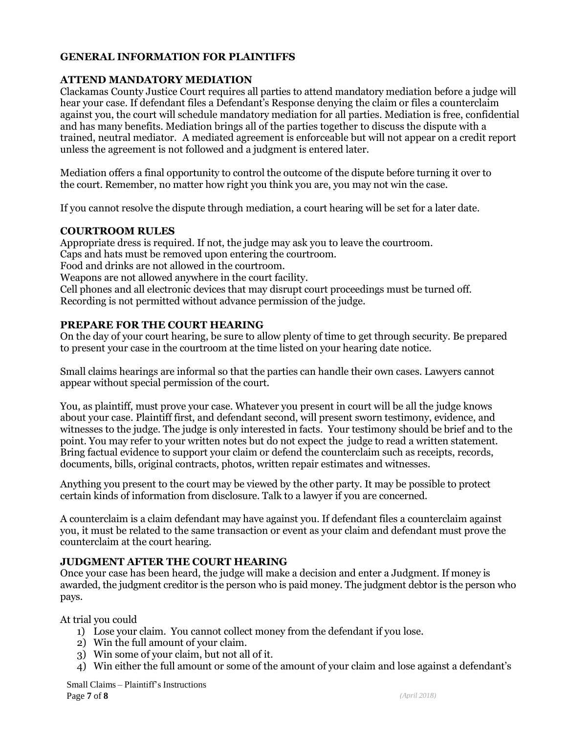## **GENERAL INFORMATION FOR PLAINTIFFS**

#### **ATTEND MANDATORY MEDIATION**

Clackamas County Justice Court requires all parties to attend mandatory mediation before a judge will hear your case. If defendant files a Defendant's Response denying the claim or files a counterclaim against you, the court will schedule mandatory mediation for all parties. Mediation is free, confidential and has many benefits. Mediation brings all of the parties together to discuss the dispute with a trained, neutral mediator. A mediated agreement is enforceable but will not appear on a credit report unless the agreement is not followed and a judgment is entered later.

Mediation offers a final opportunity to control the outcome of the dispute before turning it over to the court. Remember, no matter how right you think you are, you may not win the case.

If you cannot resolve the dispute through mediation, a court hearing will be set for a later date.

#### **COURTROOM RULES**

Appropriate dress is required. If not, the judge may ask you to leave the courtroom. Caps and hats must be removed upon entering the courtroom. Food and drinks are not allowed in the courtroom. Weapons are not allowed anywhere in the court facility. Cell phones and all electronic devices that may disrupt court proceedings must be turned off.

Recording is not permitted without advance permission of the judge.

#### **PREPARE FOR THE COURT HEARING**

On the day of your court hearing, be sure to allow plenty of time to get through security. Be prepared to present your case in the courtroom at the time listed on your hearing date notice.

Small claims hearings are informal so that the parties can handle their own cases. Lawyers cannot appear without special permission of the court.

You, as plaintiff, must prove your case. Whatever you present in court will be all the judge knows about your case. Plaintiff first, and defendant second, will present sworn testimony, evidence, and witnesses to the judge. The judge is only interested in facts. Your testimony should be brief and to the point. You may refer to your written notes but do not expect the judge to read a written statement. Bring factual evidence to support your claim or defend the counterclaim such as receipts, records, documents, bills, original contracts, photos, written repair estimates and witnesses.

Anything you present to the court may be viewed by the other party. It may be possible to protect certain kinds of information from disclosure. Talk to a lawyer if you are concerned.

A counterclaim is a claim defendant may have against you. If defendant files a counterclaim against you, it must be related to the same transaction or event as your claim and defendant must prove the counterclaim at the court hearing.

#### **JUDGMENT AFTER THE COURT HEARING**

Once your case has been heard, the judge will make a decision and enter a Judgment. If money is awarded, the judgment creditor is the person who is paid money. The judgment debtor is the person who pays.

At trial you could

- 1) Lose your claim. You cannot collect money from the defendant if you lose.
- 2) Win the full amount of your claim.
- 3) Win some of your claim, but not all of it.
- 4) Win either the full amount or some of the amount of your claim and lose against a defendant's

Small Claims – Plaintiff's Instructions Page **7** of **8** *(April 2018)*